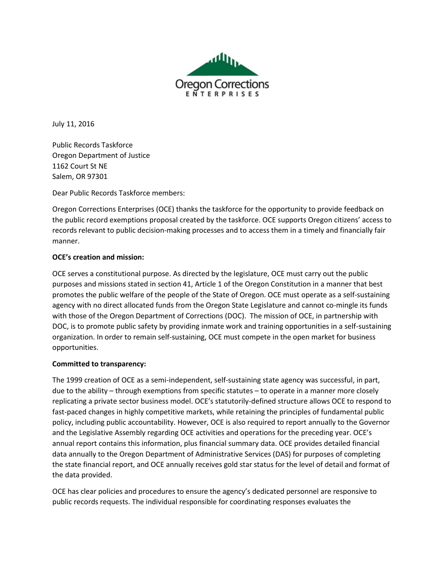

July 11, 2016

Public Records Taskforce Oregon Department of Justice 1162 Court St NE Salem, OR 97301

Dear Public Records Taskforce members:

Oregon Corrections Enterprises (OCE) thanks the taskforce for the opportunity to provide feedback on the public record exemptions proposal created by the taskforce. OCE supports Oregon citizens' access to records relevant to public decision-making processes and to access them in a timely and financially fair manner.

## **OCE's creation and mission:**

OCE serves a constitutional purpose. As directed by the legislature, OCE must carry out the public purposes and missions stated in section 41, Article 1 of the Oregon Constitution in a manner that best promotes the public welfare of the people of the State of Oregon. OCE must operate as a self-sustaining agency with no direct allocated funds from the Oregon State Legislature and cannot co-mingle its funds with those of the Oregon Department of Corrections (DOC). The mission of OCE, in partnership with DOC, is to promote public safety by providing inmate work and training opportunities in a self-sustaining organization. In order to remain self-sustaining, OCE must compete in the open market for business opportunities.

## **Committed to transparency:**

The 1999 creation of OCE as a semi-independent, self-sustaining state agency was successful, in part, due to the ability – through exemptions from specific statutes – to operate in a manner more closely replicating a private sector business model. OCE's statutorily-defined structure allows OCE to respond to fast-paced changes in highly competitive markets, while retaining the principles of fundamental public policy, including public accountability. However, OCE is also required to report annually to the Governor and the Legislative Assembly regarding OCE activities and operations for the preceding year. OCE's annual report contains this information, plus financial summary data. OCE provides detailed financial data annually to the Oregon Department of Administrative Services (DAS) for purposes of completing the state financial report, and OCE annually receives gold star status for the level of detail and format of the data provided.

OCE has clear policies and procedures to ensure the agency's dedicated personnel are responsive to public records requests. The individual responsible for coordinating responses evaluates the